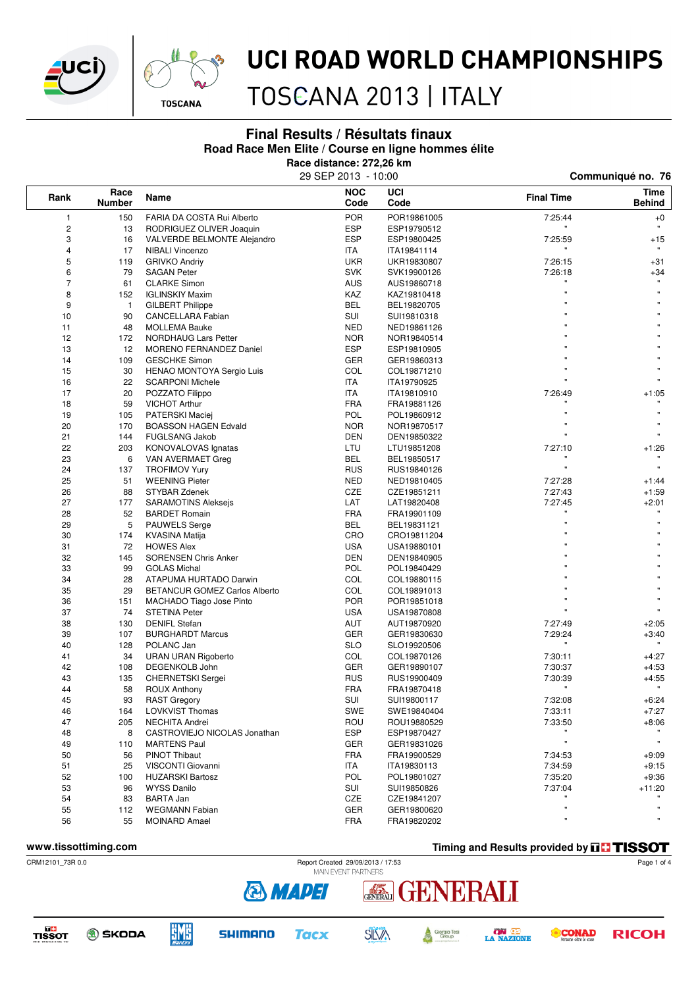



# UCI ROAD WORLD CHAMPIONSHIPS

TOSCANA 2013 | ITALY

### **Final Results / Résultats finaux**

**Road Race Men Elite / Course en ligne hommes élite**

**Race distance: 272,26 km**

| 29 SEP 2013 - 10:00 |
|---------------------|
|---------------------|

| Rank           | Race<br><b>Number</b> | Name                             | <b>NOC</b><br>Code | UCI<br>Code | <b>Final Time</b> | <b>Time</b><br><b>Behind</b> |
|----------------|-----------------------|----------------------------------|--------------------|-------------|-------------------|------------------------------|
| $\mathbf{1}$   | 150                   | FARIA DA COSTA Rui Alberto       | <b>POR</b>         | POR19861005 | 7:25:44           | $+0$                         |
|                | 13                    | RODRIGUEZ OLIVER Joaquin         | <b>ESP</b>         | ESP19790512 |                   |                              |
| 3              | 16                    | VALVERDE BELMONTE Alejandro      | ESP                | ESP19800425 | 7:25:59           | $+15$                        |
| 4              | 17                    | <b>NIBALI Vincenzo</b>           | ITA                | ITA19841114 |                   |                              |
| 5              | 119                   | <b>GRIVKO Andriy</b>             | <b>UKR</b>         | UKR19830807 | 7:26:15           | $+31$                        |
| 6              | 79                    | <b>SAGAN Peter</b>               | <b>SVK</b>         | SVK19900126 | 7:26:18           | $+34$                        |
| $\overline{7}$ | 61                    | <b>CLARKE Simon</b>              | <b>AUS</b>         | AUS19860718 |                   |                              |
| 8              | 152                   | <b>IGLINSKIY Maxim</b>           | KAZ                | KAZ19810418 |                   |                              |
| 9              | 1                     | <b>GILBERT Philippe</b>          | BEL                | BEL19820705 |                   |                              |
| 10             | 90                    | CANCELLARA Fabian                | SUI                | SUI19810318 |                   |                              |
| 11             | 48                    | <b>MOLLEMA Bauke</b>             | <b>NED</b>         | NED19861126 |                   |                              |
| 12             | 172                   | NORDHAUG Lars Petter             | <b>NOR</b>         | NOR19840514 |                   |                              |
| 13             | 12                    | MORENO FERNANDEZ Daniel          | ESP                | ESP19810905 |                   |                              |
| 14             | 109                   | <b>GESCHKE Simon</b>             | GER                | GER19860313 |                   |                              |
| 15             | 30                    | <b>HENAO MONTOYA Sergio Luis</b> | COL                | COL19871210 |                   |                              |
| 16             | 22                    | <b>SCARPONI Michele</b>          | ITA                | ITA19790925 |                   |                              |
| 17             | 20                    | POZZATO Filippo                  | ITA                | ITA19810910 | 7:26:49           | $+1:05$                      |
| 18             | 59                    | <b>VICHOT Arthur</b>             | <b>FRA</b>         | FRA19881126 |                   |                              |
| 19             | 105                   | <b>PATERSKI Maciej</b>           | <b>POL</b>         | POL19860912 |                   |                              |
| 20             | 170                   | <b>BOASSON HAGEN Edvald</b>      | <b>NOR</b>         | NOR19870517 |                   |                              |
| 21             | 144                   | <b>FUGLSANG Jakob</b>            | DEN                | DEN19850322 |                   |                              |
| 22             | 203                   | KONOVALOVAS Ignatas              | LTU                | LTU19851208 | 7:27:10           | $+1:26$                      |
| 23             | 6                     | VAN AVERMAET Greg                | BEL                | BEL19850517 |                   |                              |
| 24             | 137                   | <b>TROFIMOV Yury</b>             | <b>RUS</b>         | RUS19840126 | ×                 | $\mathbf{u}$                 |
| 25             | 51                    | <b>WEENING Pieter</b>            | <b>NED</b>         | NED19810405 | 7:27:28           | $+1:44$                      |
| 26             | 88                    | STYBAR Zdenek                    | CZE                | CZE19851211 | 7.27.43           | $+1:59$                      |
| 27             | 177                   |                                  | LAT                | LAT19820408 | 7:27:45           | $+2:01$                      |
| 28             | 52                    | <b>SARAMOTINS Aleksejs</b>       | <b>FRA</b>         |             |                   |                              |
|                | 5                     | <b>BARDET Romain</b>             |                    | FRA19901109 |                   | $\mathbf{u}$                 |
| 29             |                       | <b>PAUWELS Serge</b>             | BEL                | BEL19831121 |                   |                              |
| 30             | 174                   | KVASINA Matija                   | CRO                | CRO19811204 |                   |                              |
| 31             | 72                    | <b>HOWES Alex</b>                | <b>USA</b>         | USA19880101 |                   |                              |
| 32             | 145                   | <b>SORENSEN Chris Anker</b>      | <b>DEN</b>         | DEN19840905 |                   |                              |
| 33             | 99                    | <b>GOLAS Michal</b>              | <b>POL</b>         | POL19840429 |                   |                              |
| 34             | 28                    | ATAPUMA HURTADO Darwin           | COL                | COL19880115 |                   |                              |
| 35             | 29                    | BETANCUR GOMEZ Carlos Alberto    | COL                | COL19891013 |                   |                              |
| 36             | 151                   | MACHADO Tiago Jose Pinto         | <b>POR</b>         | POR19851018 |                   |                              |
| 37             | 74                    | <b>STETINA Peter</b>             | USA                | USA19870808 |                   |                              |
| 38             | 130                   | <b>DENIFL Stefan</b>             | AUT                | AUT19870920 | 7:27:49           | $+2:05$                      |
| 39             | 107                   | <b>BURGHARDT Marcus</b>          | GER                | GER19830630 | 7:29:24           | $+3:40$                      |
| 40             | 128                   | POLANC Jan                       | <b>SLO</b>         | SLO19920506 |                   |                              |
| 41             | 34                    | <b>URAN URAN Rigoberto</b>       | COL                | COL19870126 | 7:30:11           | +4:27                        |
| 42             | 108                   | DEGENKOLB John                   | GER                | GER19890107 | 7:30:37           | $+4.53$                      |
| 43             | 135                   | <b>CHERNETSKI</b> Sergei         | <b>RUS</b>         | RUS19900409 | 7:30:39           | $+4:55$                      |
| 44             | 58                    | <b>ROUX Anthony</b>              | <b>FRA</b>         | FRA19870418 |                   | $\pmb{\mathfrak{m}}$         |
| 45             | 93                    | <b>RAST Gregory</b>              | SUI                | SUI19800117 | 7:32:08           | $+6:24$                      |
| 46             | 164                   | <b>LOVKVIST Thomas</b>           | SWE                | SWE19840404 | 7:33:11           | $+7:27$                      |
| 47             | 205                   | NECHITA Andrei                   | ROU                | ROU19880529 | 7:33:50           | $+8:06$                      |
| 48             | 8                     | CASTROVIEJO NICOLAS Jonathan     | ESP                | ESP19870427 |                   |                              |
| 49             | 110                   | <b>MARTENS Paul</b>              | GER                | GER19831026 | Ħ                 | $\mathbf{u}$                 |
| 50             | 56                    | <b>PINOT Thibaut</b>             | <b>FRA</b>         | FRA19900529 | 7:34:53           | $+9:09$                      |
| 51             | 25                    | VISCONTI Giovanni                | ITA                | ITA19830113 | 7:34:59           | $+9:15$                      |
| 52             | 100                   | <b>HUZARSKI Bartosz</b>          | POL                | POL19801027 | 7:35:20           | $+9:36$                      |
| 53             | 96                    | <b>WYSS Danilo</b>               | SUI                | SUI19850826 | 7:37:04           | +11:20                       |
| 54             | 83                    | <b>BARTA Jan</b>                 | CZE                | CZE19841207 |                   |                              |
| 55             | 112                   | <b>WEGMANN Fabian</b>            | GER                | GER19800620 |                   |                              |
| 56             | 55                    | <b>MOINARD Amael</b>             | <b>FRA</b>         | FRA19820202 |                   |                              |

**www.tissottiming.com Timing and Results provided by THSSOT** 



ENERALI **EXERNIT** 

TISSOT





**& MAPEI** 





**CONAD RICOH** 

Page 1 of 4

Communiqué no. 76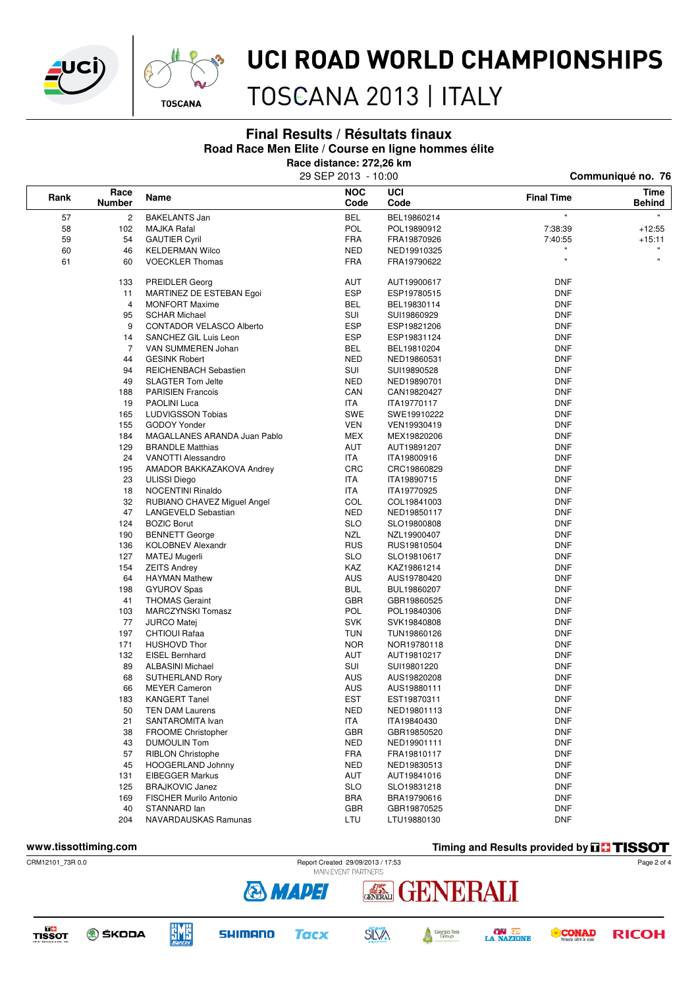



# UCI ROAD WORLD CHAMPIONSHIPS

TOSCANA 2013 | ITALY

### **Final Results / Résultats finaux**

### **Road Race Men Elite / Course en ligne hommes élite**

**Race distance: 272,26 km**

|                        |                |                                 | 29 SEP 2013 - 10:00 |             | Communiqué no. 76 |                       |  |
|------------------------|----------------|---------------------------------|---------------------|-------------|-------------------|-----------------------|--|
| Race<br>Rank<br>Number |                | Name                            | <b>NOC</b><br>Code  | UCI<br>Code | <b>Final Time</b> | Time<br><b>Behind</b> |  |
| 57                     | $\overline{c}$ | <b>BAKELANTS Jan</b>            | <b>BEL</b>          | BEL19860214 | Ħ                 |                       |  |
| 58                     | 102            | <b>MAJKA Rafal</b>              | POL                 | POL19890912 | 7:38:39           | $+12:55$              |  |
| 59                     | 54             | <b>GAUTIER Cyril</b>            | <b>FRA</b>          | FRA19870926 | 7:40:55           | +15:11                |  |
| 60                     | 46             | <b>KELDERMAN Wilco</b>          | <b>NED</b>          | NED19910325 |                   |                       |  |
| 61                     | 60             | <b>VOECKLER Thomas</b>          | <b>FRA</b>          | FRA19790622 | $\mathbf{u}$      | $\pmb{\mathfrak{m}}$  |  |
|                        | 133            | <b>PREIDLER Georg</b>           | AUT                 | AUT19900617 | <b>DNF</b>        |                       |  |
|                        | 11             | MARTINEZ DE ESTEBAN Egoi        | ESP                 | ESP19780515 | <b>DNF</b>        |                       |  |
|                        | 4              | <b>MONFORT Maxime</b>           | <b>BEL</b>          | BEL19830114 | <b>DNF</b>        |                       |  |
|                        | 95             | <b>SCHAR Michael</b>            | SUI                 | SUI19860929 | <b>DNF</b>        |                       |  |
|                        | 9              | <b>CONTADOR VELASCO Alberto</b> | <b>ESP</b>          | ESP19821206 | <b>DNF</b>        |                       |  |
|                        | 14             | SANCHEZ GIL Luis Leon           | <b>ESP</b>          | ESP19831124 | <b>DNF</b>        |                       |  |
|                        | $\overline{7}$ | VAN SUMMEREN Johan              | <b>BEL</b>          | BEL19810204 | <b>DNF</b>        |                       |  |
|                        | 44             | <b>GESINK Robert</b>            | <b>NED</b>          | NED19860531 | <b>DNF</b>        |                       |  |
|                        | 94             | REICHENBACH Sebastien           | SUI                 | SUI19890528 | <b>DNF</b>        |                       |  |
|                        | 49             | <b>SLAGTER Tom Jelte</b>        | <b>NED</b>          | NED19890701 | <b>DNF</b>        |                       |  |
|                        | 188            | <b>PARISIEN Francois</b>        | CAN                 | CAN19820427 | DNF               |                       |  |
|                        | 19             | PAOLINI Luca                    | ITA                 | ITA19770117 | <b>DNF</b>        |                       |  |
|                        | 165            | <b>LUDVIGSSON Tobias</b>        | SWE                 | SWE19910222 | <b>DNF</b>        |                       |  |
|                        | 155            | <b>GODOY Yonder</b>             | <b>VEN</b>          | VEN19930419 | <b>DNF</b>        |                       |  |
|                        | 184            | MAGALLANES ARANDA Juan Pablo    | <b>MEX</b>          | MEX19820206 | <b>DNF</b>        |                       |  |
|                        | 129            | <b>BRANDLE Matthias</b>         | AUT                 | AUT19891207 | <b>DNF</b>        |                       |  |
|                        | 24             | <b>VANOTTI Alessandro</b>       | ITA                 | ITA19800916 | <b>DNF</b>        |                       |  |
|                        | 195            | AMADOR BAKKAZAKOVA Andrey       | <b>CRC</b>          | CRC19860829 | <b>DNF</b>        |                       |  |
|                        | 23             | <b>ULISSI</b> Diego             | ITA                 | ITA19890715 | <b>DNF</b>        |                       |  |
|                        | 18             | <b>NOCENTINI Rinaldo</b>        | ITA                 | ITA19770925 | <b>DNF</b>        |                       |  |
|                        | 32             | RUBIANO CHAVEZ Miguel Angel     | COL                 | COL19841003 | <b>DNF</b>        |                       |  |
|                        | 47             | LANGEVELD Sebastian             | NED                 | NED19850117 | <b>DNF</b>        |                       |  |
|                        | 124            | <b>BOZIC Borut</b>              | <b>SLO</b>          | SLO19800808 | <b>DNF</b>        |                       |  |
|                        | 190            | <b>BENNETT George</b>           | NZL                 | NZL19900407 | <b>DNF</b>        |                       |  |
|                        | 136            | <b>KOLOBNEV Alexandr</b>        | <b>RUS</b>          | RUS19810504 | <b>DNF</b>        |                       |  |
|                        | 127            | <b>MATEJ Mugerli</b>            | <b>SLO</b>          | SLO19810617 | <b>DNF</b>        |                       |  |
|                        | 154            | <b>ZEITS Andrey</b>             | KAZ                 | KAZ19861214 | <b>DNF</b>        |                       |  |
|                        | 64             | <b>HAYMAN Mathew</b>            | <b>AUS</b>          | AUS19780420 | <b>DNF</b>        |                       |  |
|                        | 198            | <b>GYUROV Spas</b>              | <b>BUL</b>          | BUL19860207 | <b>DNF</b>        |                       |  |
|                        | 41             | <b>THOMAS Geraint</b>           | <b>GBR</b>          | GBR19860525 | <b>DNF</b>        |                       |  |
|                        | 103            | MARCZYNSKI Tomasz               | POL                 | POL19840306 | <b>DNF</b>        |                       |  |
|                        | 77             | <b>JURCO Matej</b>              | <b>SVK</b>          | SVK19840808 | <b>DNF</b>        |                       |  |
|                        | 197            | <b>CHTIOUI Rafaa</b>            | <b>TUN</b>          | TUN19860126 | <b>DNF</b>        |                       |  |
|                        | 171            | <b>HUSHOVD Thor</b>             | <b>NOR</b>          | NOR19780118 | <b>DNF</b>        |                       |  |
|                        | 132            | <b>EISEL Bernhard</b>           | AUT                 | AUT19810217 | <b>DNF</b>        |                       |  |
|                        | 89             | <b>ALBASINI Michael</b>         | SUI                 | SUI19801220 | <b>DNF</b>        |                       |  |
|                        | 68             | SUTHERLAND Rory                 | <b>AUS</b>          | AUS19820208 | <b>DNF</b>        |                       |  |
|                        | 66             | <b>MEYER Cameron</b>            | <b>AUS</b>          | AUS19880111 | <b>DNF</b>        |                       |  |
|                        | 183            | <b>KANGERT Tanel</b>            | EST                 | EST19870311 | <b>DNF</b>        |                       |  |
|                        | 50             | <b>TEN DAM Laurens</b>          | <b>NED</b>          | NED19801113 | <b>DNF</b>        |                       |  |
|                        | 21             | SANTAROMITA Ivan                | ITA                 | ITA19840430 | <b>DNF</b>        |                       |  |
|                        | 38             | <b>FROOME Christopher</b>       | <b>GBR</b>          | GBR19850520 | <b>DNF</b>        |                       |  |
|                        | 43             | <b>DUMOULIN Tom</b>             | <b>NED</b>          | NED19901111 | <b>DNF</b>        |                       |  |
|                        | 57             | <b>RIBLON Christophe</b>        | <b>FRA</b>          | FRA19810117 | <b>DNF</b>        |                       |  |
|                        | 45             | HOOGERLAND Johnny               | NED                 | NED19830513 | <b>DNF</b>        |                       |  |
|                        | 131            | <b>EIBEGGER Markus</b>          | AUT                 | AUT19841016 | <b>DNF</b>        |                       |  |
|                        | 125            | <b>BRAJKOVIC Janez</b>          | <b>SLO</b>          | SLO19831218 | <b>DNF</b>        |                       |  |
|                        | 169            | <b>FISCHER Murilo Antonio</b>   | <b>BRA</b>          | BRA19790616 | <b>DNF</b>        |                       |  |
|                        | 40             | STANNARD lan                    | <b>GBR</b>          | GBR19870525 | <b>DNF</b>        |                       |  |
|                        | 204            | NAVARDAUSKAS Ramunas            | LTU                 | LTU19880130 | <b>DNF</b>        |                       |  |

#### **www.tissottiming.com Timing and Results provided by THSSOT**

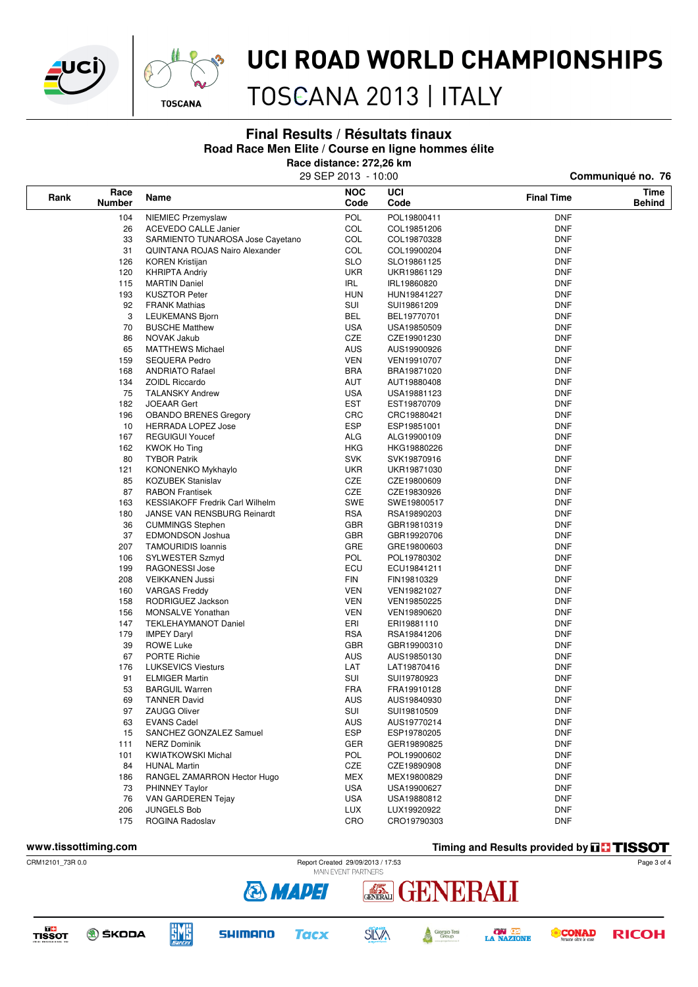

**Rank Race**



## UCI ROAD WORLD CHAMPIONSHIPS

TOSCANA 2013 | ITALY

**Final Results / Résultats finaux**

**Road Race Men Elite / Course en ligne hommes élite**

| Road Race Men Eine / Course en ligne nommes eine<br>Race distance: 272,26 km<br>29 SEP 2013 - 10:00<br>Communiqué no. 76 |                                        |            |             |            |  |  |  |  |
|--------------------------------------------------------------------------------------------------------------------------|----------------------------------------|------------|-------------|------------|--|--|--|--|
|                                                                                                                          |                                        |            |             |            |  |  |  |  |
| 104                                                                                                                      | NIEMIEC Przemyslaw                     | POL        | POL19800411 | <b>DNF</b> |  |  |  |  |
| 26                                                                                                                       | <b>ACEVEDO CALLE Janier</b>            | COL        | COL19851206 | <b>DNF</b> |  |  |  |  |
| 33                                                                                                                       | SARMIENTO TUNAROSA Jose Cayetano       | COL        | COL19870328 | <b>DNF</b> |  |  |  |  |
| 31                                                                                                                       | <b>QUINTANA ROJAS Nairo Alexander</b>  | COL        | COL19900204 | DNF        |  |  |  |  |
| 126                                                                                                                      | <b>KOREN Kristijan</b>                 | <b>SLO</b> | SLO19861125 | <b>DNF</b> |  |  |  |  |
| 120                                                                                                                      | <b>KHRIPTA Andriy</b>                  | <b>UKR</b> | UKR19861129 | <b>DNF</b> |  |  |  |  |
| 115                                                                                                                      | <b>MARTIN Daniel</b>                   | IRL        | IRL19860820 | <b>DNF</b> |  |  |  |  |
| 193                                                                                                                      | <b>KUSZTOR Peter</b>                   | <b>HUN</b> | HUN19841227 | <b>DNF</b> |  |  |  |  |
| 92                                                                                                                       | <b>FRANK Mathias</b>                   | SUI        | SUI19861209 | <b>DNF</b> |  |  |  |  |
| 3                                                                                                                        | <b>LEUKEMANS Bjorn</b>                 | <b>BEL</b> | BEL19770701 | <b>DNF</b> |  |  |  |  |
| 70                                                                                                                       | <b>BUSCHE Matthew</b>                  | <b>USA</b> | USA19850509 | <b>DNF</b> |  |  |  |  |
| 86                                                                                                                       | NOVAK Jakub                            | CZE        | CZE19901230 | <b>DNF</b> |  |  |  |  |
| 65                                                                                                                       | <b>MATTHEWS Michael</b>                | <b>AUS</b> | AUS19900926 | <b>DNF</b> |  |  |  |  |
| 159                                                                                                                      | <b>SEQUERA Pedro</b>                   | <b>VEN</b> | VEN19910707 | <b>DNF</b> |  |  |  |  |
| 168                                                                                                                      | <b>ANDRIATO Rafael</b>                 | <b>BRA</b> | BRA19871020 | <b>DNF</b> |  |  |  |  |
| 134                                                                                                                      | <b>ZOIDL Riccardo</b>                  | AUT        | AUT19880408 | <b>DNF</b> |  |  |  |  |
| 75                                                                                                                       | <b>TALANSKY Andrew</b>                 | <b>USA</b> | USA19881123 | <b>DNF</b> |  |  |  |  |
| 182                                                                                                                      | <b>JOEAAR Gert</b>                     | <b>EST</b> | EST19870709 | <b>DNF</b> |  |  |  |  |
| 196                                                                                                                      | <b>OBANDO BRENES Gregory</b>           | <b>CRC</b> | CRC19880421 | <b>DNF</b> |  |  |  |  |
| 10                                                                                                                       | <b>HERRADA LOPEZ Jose</b>              | <b>ESP</b> | ESP19851001 | DNF        |  |  |  |  |
| 167                                                                                                                      | <b>REGUIGUI Youcef</b>                 | <b>ALG</b> | ALG19900109 | <b>DNF</b> |  |  |  |  |
| 162                                                                                                                      | <b>KWOK Ho Ting</b>                    | <b>HKG</b> | HKG19880226 | <b>DNF</b> |  |  |  |  |
| 80                                                                                                                       | <b>TYBOR Patrik</b>                    | <b>SVK</b> | SVK19870916 | <b>DNF</b> |  |  |  |  |
| 121                                                                                                                      | KONONENKO Mykhaylo                     | <b>UKR</b> | UKR19871030 | <b>DNF</b> |  |  |  |  |
| 85                                                                                                                       | <b>KOZUBEK Stanislav</b>               | CZE        | CZE19800609 | <b>DNF</b> |  |  |  |  |
| 87                                                                                                                       | <b>RABON Frantisek</b>                 | CZE        | CZE19830926 | <b>DNF</b> |  |  |  |  |
| 163                                                                                                                      | <b>KESSIAKOFF Fredrik Carl Wilhelm</b> | <b>SWE</b> | SWE19800517 | <b>DNF</b> |  |  |  |  |
| 180                                                                                                                      | JANSE VAN RENSBURG Reinardt            | <b>RSA</b> | RSA19890203 | <b>DNF</b> |  |  |  |  |
| 36                                                                                                                       | <b>CUMMINGS Stephen</b>                | <b>GBR</b> | GBR19810319 | DNF        |  |  |  |  |
| 37                                                                                                                       | <b>EDMONDSON Joshua</b>                | <b>GBR</b> | GBR19920706 | <b>DNF</b> |  |  |  |  |
| 207                                                                                                                      | <b>TAMOURIDIS Ioannis</b>              | GRE        | GRE19800603 | <b>DNF</b> |  |  |  |  |
| 106                                                                                                                      | SYLWESTER Szmyd                        | <b>POL</b> | POL19780302 | <b>DNF</b> |  |  |  |  |
| 199                                                                                                                      | RAGONESSI Jose                         | ECU        | ECU19841211 | <b>DNF</b> |  |  |  |  |
| 208                                                                                                                      | <b>VEIKKANEN Jussi</b>                 | FIN        | FIN19810329 | <b>DNF</b> |  |  |  |  |
| 160                                                                                                                      | <b>VARGAS Freddy</b>                   | <b>VEN</b> | VEN19821027 | <b>DNF</b> |  |  |  |  |
| 158                                                                                                                      | RODRIGUEZ Jackson                      | <b>VEN</b> | VEN19850225 | <b>DNF</b> |  |  |  |  |
| 156                                                                                                                      | <b>MONSALVE Yonathan</b>               | <b>VEN</b> | VEN19890620 | <b>DNF</b> |  |  |  |  |
| 147                                                                                                                      | <b>TEKLEHAYMANOT Daniel</b>            | ERI        | ERI19881110 | <b>DNF</b> |  |  |  |  |
| 179                                                                                                                      | <b>IMPEY Daryl</b>                     | <b>RSA</b> | RSA19841206 | <b>DNF</b> |  |  |  |  |
| 39                                                                                                                       | <b>ROWE Luke</b>                       | <b>GBR</b> | GBR19900310 | DNF        |  |  |  |  |
| 67                                                                                                                       | <b>PORTE Richie</b>                    | AUS        | AUS19850130 | <b>DNF</b> |  |  |  |  |
| 176                                                                                                                      | <b>LUKSEVICS Viesturs</b>              | LAT        | LAT19870416 | <b>DNF</b> |  |  |  |  |
| 91                                                                                                                       | <b>ELMIGER Martin</b>                  | SUI        | SUI19780923 | <b>DNF</b> |  |  |  |  |
| 53                                                                                                                       | <b>BARGUIL Warren</b>                  | <b>FRA</b> | FRA19910128 | <b>DNF</b> |  |  |  |  |
| 69                                                                                                                       | <b>TANNER David</b>                    | <b>AUS</b> | AUS19840930 | <b>DNF</b> |  |  |  |  |
| 97                                                                                                                       | <b>ZAUGG Oliver</b>                    | SUI        | SUI19810509 | <b>DNF</b> |  |  |  |  |
| 63                                                                                                                       | <b>EVANS Cadel</b>                     | <b>AUS</b> | AUS19770214 | <b>DNF</b> |  |  |  |  |
| 15                                                                                                                       | SANCHEZ GONZALEZ Samuel                | ESP        | ESP19780205 | <b>DNF</b> |  |  |  |  |
| 111                                                                                                                      | <b>NERZ Dominik</b>                    | GER        | GER19890825 | <b>DNF</b> |  |  |  |  |
| 101                                                                                                                      | <b>KWIATKOWSKI Michal</b>              | <b>POL</b> | POL19900602 | <b>DNF</b> |  |  |  |  |
| 84                                                                                                                       | <b>HUNAL Martin</b>                    | CZE        | CZE19890908 | <b>DNF</b> |  |  |  |  |
| 186                                                                                                                      | RANGEL ZAMARRON Hector Hugo            | MEX        | MEX19800829 | <b>DNF</b> |  |  |  |  |
| 73                                                                                                                       | PHINNEY Taylor                         | <b>USA</b> | USA19900627 | <b>DNF</b> |  |  |  |  |
| 76                                                                                                                       | VAN GARDEREN Tejay                     | <b>USA</b> | USA19880812 | DNF        |  |  |  |  |
| 206                                                                                                                      | <b>JUNGELS Bob</b>                     | <b>LUX</b> | LUX19920922 | <b>DNF</b> |  |  |  |  |
| 175                                                                                                                      | ROGINA Radoslav                        | CRO        | CRO19790303 | <b>DNF</b> |  |  |  |  |

**www.tissottiming.com Timing and Results provided by THSSOT**